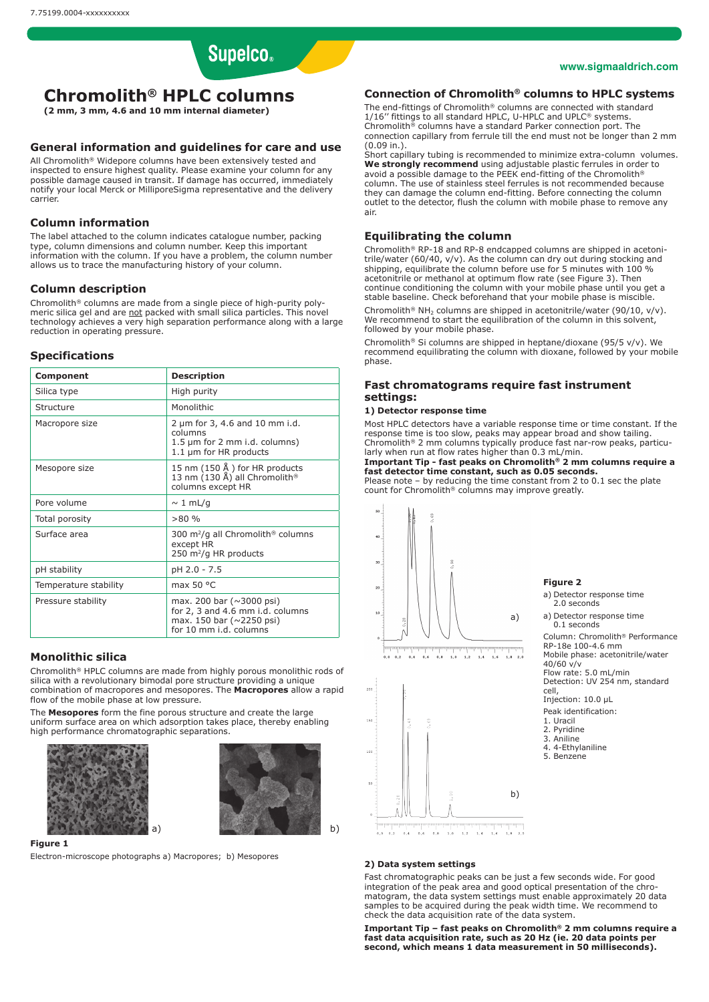# **Supelco**

#### **www.sigmaaldrich.com**

# **Chromolith® HPLC columns**

**(2 mm, 3 mm, 4.6 and 10 mm internal diameter)**

# **General information and guidelines for care and use**

All Chromolith® Widepore columns have been extensively tested and in chronomic consumer the community of the consumer, the consumer in any inspected to ensure highest quality. Please examine your column for any possible damage caused in transit. If damage has occurred, immediately notify your local Merck or MilliporeSigma representative and the delivery carrier.

# **Column information**

The label attached to the column indicates catalogue number, packing type, column dimensions and column number. Keep this important information with the column. If you have a problem, the column number allows us to trace the manufacturing history of your column.

#### **Column description**

Chromolith® columns are made from a single piece of high-purity polymeric silica gel and are not packed with small silica particles. This novel technology achieves a very high separation performance along with a large reduction in operating pressure.

#### **Specifications**

| Component             | <b>Description</b>                                                                                                               |
|-----------------------|----------------------------------------------------------------------------------------------------------------------------------|
| Silica type           | High purity                                                                                                                      |
| Structure             | Monolithic                                                                                                                       |
| Macropore size        | 2 um for 3, 4.6 and 10 mm i.d.<br>columns<br>$1.5 \mu m$ for 2 mm i.d. columns)<br>1.1 µm for HR products                        |
| Mesopore size         | 15 nm $(150 \text{ Å})$ for HR products<br>13 nm (130 Å) all Chromolith <sup>®</sup><br>columns except HR                        |
| Pore volume           | $\sim 1$ mL/g                                                                                                                    |
| Total porosity        | >80%                                                                                                                             |
| Surface area          | 300 m <sup>2</sup> /g all Chromolith <sup>®</sup> columns<br>except HR<br>250 $m^2/q$ HR products                                |
| pH stability          | pH 2.0 - 7.5                                                                                                                     |
| Temperature stability | max 50 $\degree$ C                                                                                                               |
| Pressure stability    | max. 200 bar ( $\sim$ 3000 psi)<br>for 2, 3 and 4.6 mm i.d. columns<br>max. 150 bar ( $\sim$ 2250 psi)<br>for 10 mm i.d. columns |

### **Monolithic silica**

Chromolith® HPLC columns are made from highly porous monolithic rods of silica with a revolutionary bimodal pore structure providing a unique combination of macropores and mesopores. The **Macropores** allow a rapid flow of the mobile phase at low pressure.

The **Mesopores** form the fine porous structure and create the large uniform surface area on which adsorption takes place, thereby enabling high performance chromatographic separations.





#### **Figure 1**

Electron-microscope photographs a) Macropores; b) Mesopores

# **Connection of Chromolith® columns to HPLC systems**

The end-fittings of Chromolith® columns are connected with standard 1/16" fittings to all standard HPLC, U-HPLC and UPLC® systems. Chromolith® columns have a standard Parker connection port. The connection capillary from ferrule till the end must not be longer than 2 mm (0.09 in.).

Short capillary tubing is recommended to minimize extra-column volumes. We strongly recommend using adjustable plastic ferrules in order to avoid a possible damage to the PEEK end-fitting of the Chromolith® column. The use of stainless steel ferrules is not recommended because they can damage the column end-fitting. Before connecting the column outlet to the detector, flush the column with mobile phase to remove any air.

# **Equilibrating the column**

Chromolith® RP-18 and RP-8 endcapped columns are shipped in acetonitrile/water (60/40, v/v). As the column can dry out during stocking and shipping, equilibrate the column before use for 5 minutes with 100 % acetonitrile or methanol at optimum flow rate (see Figure 3). Then continue conditioning the column with your mobile phase until you get a stable baseline. Check beforehand that your mobile phase is miscible.

Chromolith® NH<sub>2</sub> columns are shipped in acetonitrile/water (90/10, v/v). We recommend to start the equilibration of the column in this solvent, followed by your mobile phase.

Chromolith® Si columns are shipped in heptane/dioxane (95/5 v/v). We recommend equilibrating the column with dioxane, followed by your mobile phase.

# **Fast chromatograms require fast instrument settings:**

#### **1) Detector response time**

Most HPLC detectors have a variable response time or time constant. If the response time is too slow, peaks may appear broad and show tailing. Chromolith® 2 mm columns typically produce fast nar-row peaks, particularly when run at flow rates higher than 0.3 mL/min.

### **Important Tip - fast peaks on Chromolith® 2 mm columns require a fast detector time constant, such as 0.05 seconds.**

Please note – by reducing the time constant from 2 to 0.1 sec the plate count for Chromolith® columns may improve greatly.



 $\frac{1}{0.8}$  $\mathbf{a}$ 



 $\begin{matrix} 0 & 0 & 0 & 2 & 0 & 4 & 0 & 6 & 0 & 0 & 1 & 0 & 1 & 2 & 1 & 4 & 1 & 6 & 1 & 8 & 2 & 0 \end{matrix}$ 

#### **2) Data system settings**

Fast chromatographic peaks can be just a few seconds wide. For good integration of the peak area and good optical presentation of the chromatogram, the data system settings must enable approximately 20 data samples to be acquired during the peak width time. We recommend to check the data acquisition rate of the data system.

**Important Tip – fast peaks on Chromolith® 2 mm columns require a fast data acquisition rate, such as 20 Hz (ie. 20 data points per second, which means 1 data measurement in 50 milliseconds).**

**Figure 2**

- a) Detector response time 2.0 seconds
- a) Detector response time 0.1 seconds

Column: Chromolith® Performance RP-18e 100-4.6 mm Mobile phase: acetonitrile/water 40/60 v/v Flow rate: 5.0 mL/min

Detection: UV 254 nm, standard cell,

Injection: 10.0 uL

- Peak identification:
- 1. Uracil 2. Pyridine
- 3. Aniline
- 4. 4-Ethylaniline
- 5. Benzene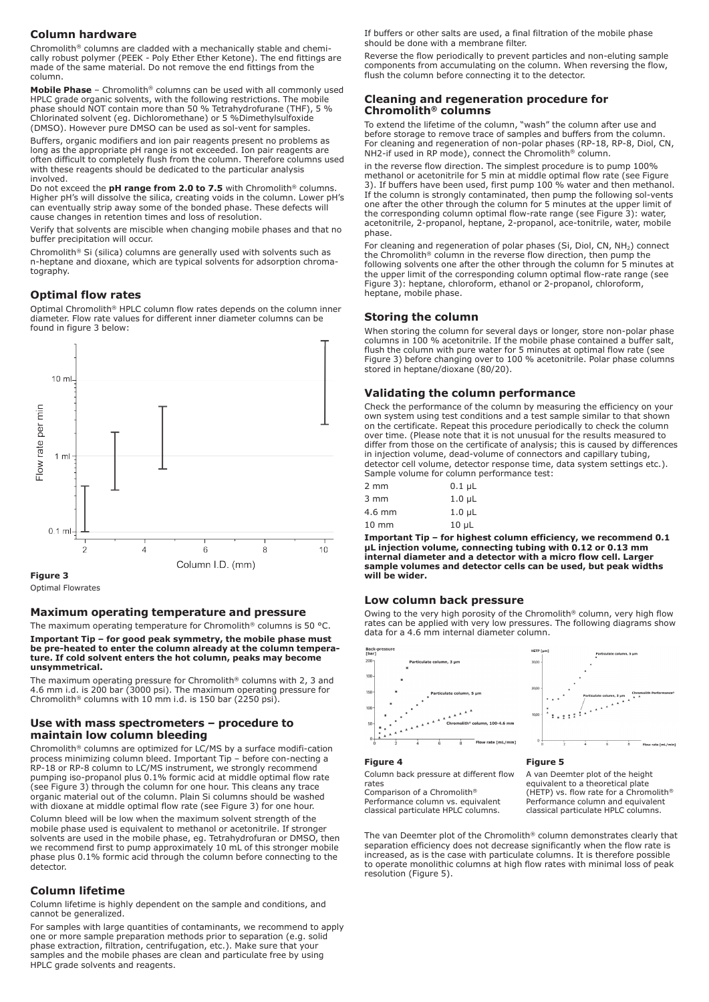# **Column hardware**

Chromolith® columns are cladded with a mechanically stable and chemically robust polymer (PEEK - Poly Ether Ether Ketone). The end fittings are made of the same material. Do not remove the end fittings from the column.

**Mobile Phase** – Chromolith® columns can be used with all commonly used HPLC grade organic solvents, with the following restrictions. The mobile phase should NOT contain more than 50 % Tetrahydrofurane (THF), 5 % Chlorinated solvent (eg. Dichloromethane) or 5 %Dimethylsulfoxide (DMSO). However pure DMSO can be used as sol-vent for samples.

Buffers, organic modifiers and ion pair reagents present no problems as long as the appropriate pH range is not exceeded. Ion pair reagents are often difficult to completely flush from the column. Therefore columns used with these reagents should be dedicated to the particular analysis involved.

Do not exceed the **pH range from 2.0 to 7.5** with Chromolith® columns. Higher pH's will dissolve the silica, creating voids in the column. Lower pH's can eventually strip away some of the bonded phase. These defects will cause changes in retention times and loss of resolution.

Verify that solvents are miscible when changing mobile phases and that no buffer precipitation will occur.

Chromolith® Si (silica) columns are generally used with solvents such as n-heptane and dioxane, which are typical solvents for adsorption chromatography.

# **Optimal flow rates**

Optimal Chromolith® HPLC column flow rates depends on the column inner diameter. Flow rate values for different inner diameter columns can be found in figure 3 below:



Optimal Flowrates

#### **Maximum operating temperature and pressure**

The maximum operating temperature for Chromolith® columns is 50 °C.

#### **Important Tip – for good peak symmetry, the mobile phase must be pre-heated to enter the column already at the column temperature. If cold solvent enters the hot column, peaks may become unsymmetrical.**

The maximum operating pressure for Chromolith® columns with 2, 3 and 4.6 mm i.d. is 200 bar (3000 psi). The maximum operating pressure for Chromolith® columns with 10 mm i.d. is 150 bar (2250 psi).

#### **Use with mass spectrometers – procedure to maintain low column bleeding**

Chromolith® columns are optimized for LC/MS by a surface modifi-cation process minimizing column bleed. Important Tip – before con-necting a RP-18 or RP-8 column to LC/MS instrument, we strongly recommend pumping iso-propanol plus 0.1% formic acid at middle optimal flow rate (see Figure 3) through the column for one hour. This cleans any trace organic material out of the column. Plain Si columns should be washed with dioxane at middle optimal flow rate (see Figure 3) for one hour.

Column bleed will be low when the maximum solvent strength of the mobile phase used is equivalent to methanol or acetonitrile. If stronger solvents are used in the mobile phase, eg. Tetrahydrofuran or DMSO, then we recommend first to pump approximately 10 mL of this stronger mobile phase plus 0.1% formic acid through the column before connecting to the detector.

# **Column lifetime**

Column lifetime is highly dependent on the sample and conditions, and cannot be generalized.

For samples with large quantities of contaminants, we recommend to apply one or more sample preparation methods prior to separation (e.g. solid phase extraction, filtration, centrifugation, etc.). Make sure that your samples and the mobile phases are clean and particulate free by using HPLC grade solvents and reagents.

If buffers or other salts are used, a final filtration of the mobile phase should be done with a membrane filter.

Reverse the flow periodically to prevent particles and non-eluting sample components from accumulating on the column. When reversing the flow, flush the column before connecting it to the detector.

# **Cleaning and regeneration procedure for Chromolith® columns**

To extend the lifetime of the column, "wash" the column after use and before storage to remove trace of samples and buffers from the column. For cleaning and regeneration of non-polar phases (RP-18, RP-8, Diol, CN, NH2-if used in RP mode), connect the Chromolith® column.

in the reverse flow direction. The simplest procedure is to pump 100% methanol or acetonitrile for 5 min at middle optimal flow rate (see Figure 3). If buffers have been used, first pump 100 % water and then methanol. If the column is strongly contaminated, then pump the following sol-vents one after the other through the column for 5 minutes at the upper limit of the corresponding column optimal flow-rate range (see Figure 3): water, acetonitrile, 2-propanol, heptane, 2-propanol, ace-tonitrile, water, mobile phase.

For cleaning and regeneration of polar phases (Si, Diol, CN, NH<sub>2</sub>) connect the Chromolith® column in the reverse flow direction, then pump the following solvents one after the other through the column for 5 minutes at the upper limit of the corresponding column optimal flow-rate range (see Figure 3): heptane, chloroform, ethanol or 2-propanol, chloroform, heptane, mobile phase.

#### **Storing the column**

When storing the column for several days or longer, store non-polar phase columns in 100 % acetonitrile. If the mobile phase contained a buffer salt, flush the column with pure water for 5 minutes at optimal flow rate (see Figure 3) before changing over to 100 % acetonitrile. Polar phase columns stored in heptane/dioxane (80/20).

#### **Validating the column performance**

Check the performance of the column by measuring the efficiency on your own system using test conditions and a test sample similar to that shown on the certificate. Repeat this procedure periodically to check the column over time. (Please note that it is not unusual for the results measured to differ from those on the certificate of analysis; this is caused by differences in injection volume, dead-volume of connectors and capillary tubing, detector cell volume, detector response time, data system settings etc.). Sample volume for column performance test:

| 2 mm            | $0.1 \mu L$        |
|-----------------|--------------------|
| 3 mm            | 1.0 <sub>µ</sub> L |
| $4.6$ mm        | 1.0 <sub>µ</sub>   |
| $10 \text{ mm}$ | $10 \mu L$         |

**Important Tip – for highest column efficiency, we recommend 0.1 µL injection volume, connecting tubing with 0.12 or 0.13 mm**  internal diameter and a detector with a micro flow cell. Large **sample volumes and detector cells can be used, but peak widths will be wider.**

#### **Low column back pressure**

Owing to the very high porosity of the Chromolith® column, very high flow rates can be applied with very low pressures. The following diagrams show data for a 4.6 mm internal diameter column.





#### **Figure 4**

Column back pressure at different flow rates

Comparison of a Chromolith® Performance column vs. equivalent classical particulate HPLC columns. A van Deemter plot of the height equivalent to a theoretical plate<br>(HETP) vs. flow rate for a Chromolith® Performance column and equivalent classical particulate HPLC columns.

The van Deemter plot of the Chromolith® column demonstrates clearly that separation efficiency does not decrease significantly when the flow rate is increased, as is the case with particulate columns. It is therefore possible to operate monolithic columns at high flow rates with minimal loss of peak resolution (Figure 5).

**Figure 5**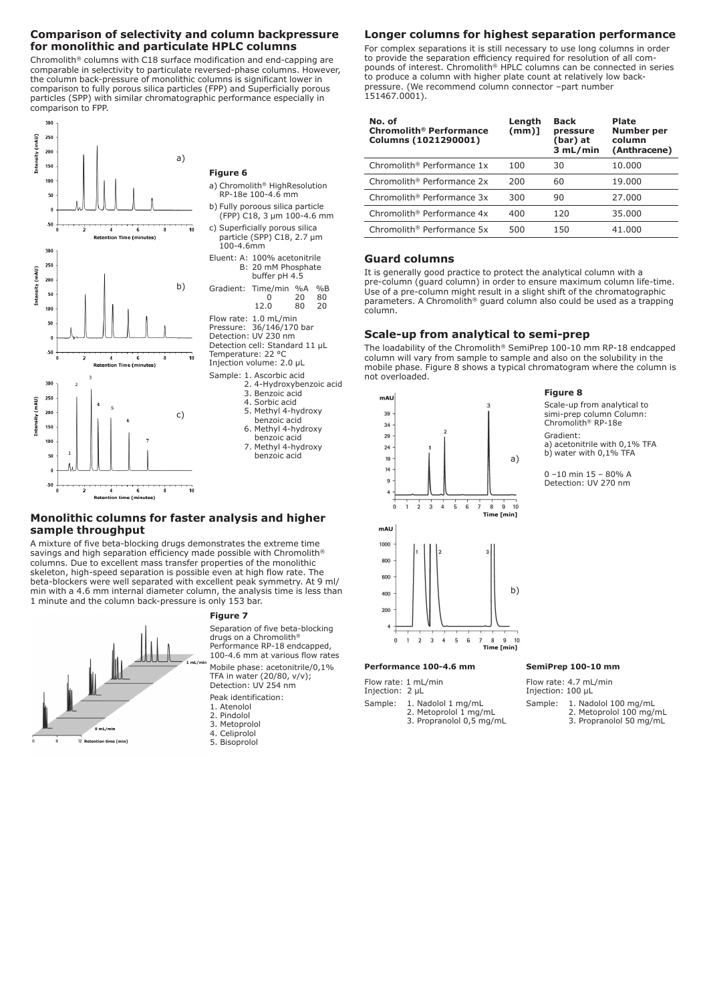# **Comparison of selectivity and column backpressure for monolithic and particulate HPLC columns**

Chromolith® columns with C18 surface modification and end-capping are comparable in selectivity to particulate reversed-phase columns. However, the column back-pressure of monolithic columns is significant lower in comparison to fully porous silica particles (FPP) and Superficially porous particles (SPP) with similar chromatographic performance especially in comparison to FPP.



 $300$ 

# **Figure 6**

a) Chromolith® HighResolution RP-18e 100-4.6 mm

- b) Fully poroous silica particle (FPP) C18, 3 µm 100-4.6 mm c) Superficially porous silica particle (SPP) C18, 2.7 µm
- 100-4.6mm Eluent: A: 100% acetonitrile B: 20 mM Phosphate buffer pH 4.5 Gradient: Time/min %A %B<br>0 20 80 0 20 80 12.0 80 20 Flow rate: 1.0 mL/min Pressure: 36/146/170 bar Detection: UV 230 nm Detection cell: Standard 11 µL Temperature: 22 °C Injection volume: 2.0 µL Sample: 1. Ascorbic acid 2. 4-Hydroxybenzoic acid 3. Benzoic acid 4. Sorbic acid 5. Methyl 4-hydroxy benzoic acid 6. Methyl 4-hydroxy
	- benzoic acid 7. Methyl 4-hydroxy benzoic acid

# **Monolithic columns for faster analysis and higher sample throughput**

A mixture of five beta-blocking drugs demonstrates the extreme time savings and high separation efficiency made possible with Chromolith® columns. Due to excellent mass transfer properties of the monolithic skeleton, high-speed separation is possible even at high flow rate. The beta-blockers were well separated with excellent peak symmetry. At 9 ml/ min with a 4.6 mm internal diameter column, the analysis time is less than 1 minute and the column back-pressure is only 153 bar.



#### **Figure 7**

Separation of five beta-blocking drugs on a Chromolith® Performance RP-18 endcapped, 100-4.6 mm at various flow rates Mobile phase: acetonitrile/0,1% TFA in water (20/80, v/v); Detection: UV 254 nm

Peak identification:

- 1. Atenolol<br>2. Pindolol Pindolol
- 3. Metoprolol
- 4. Celiprolol
- 5. Bisoprolol

# **Longer columns for highest separation performance**

For complex separations it is still necessary to use long columns in order to provide the separation efficiency required for resolution of all compounds of interest. Chromolith® HPLC columns can be connected in series to produce a column with higher plate count at relatively low backpressure. (We recommend column connector –part number 151467.0001).

| No. of<br><b>Chromolith<sup>®</sup> Performance</b><br>Columns (1021290001) | Length<br>$(mm)$ ] | <b>Back</b><br>pressure<br>(bar) at<br>3 mL/min | Plate<br>Number per<br>column<br>(Anthracene) |
|-----------------------------------------------------------------------------|--------------------|-------------------------------------------------|-----------------------------------------------|
| Chromolith <sup>®</sup> Performance 1x                                      | 100                | 30                                              | 10.000                                        |
| Chromolith <sup>®</sup> Performance 2x                                      | 200                | 60                                              | 19.000                                        |
| Chromolith <sup>®</sup> Performance 3x                                      | 300                | 90                                              | 27,000                                        |
| Chromolith <sup>®</sup> Performance 4x                                      | 400                | 120                                             | 35,000                                        |
| Chromolith <sup>®</sup> Performance 5x                                      | 500                | 150                                             | 41.000                                        |

# **Guard columns**

It is generally good practice to protect the analytical column with a pre-column (guard column) in order to ensure maximum column life-time. Use of a pre-column might result in a slight shift of the chromatographic parameters. A Chromolith® guard column also could be used as a trapping column.

# **Scale-up from analytical to semi-prep**

The loadability of the Chromolith® SemiPrep 100-10 mm RP-18 endcapped column will vary from sample to sample and also on the solubility in the mobile phase. Figure 8 shows a typical chromatogram where the column is not overloaded.



#### **Figure 8**

Scale-up from analytical to simi-prep column Column: Chromolith® RP-18e Gradient:

a) acetonitrile with 0,1% TFA b) water with 0,1% TFA

0 –10 min 15 – 80% A Detection: UV 270 nm

#### **Performance 100-4.6 mm SemiPrep 100-10 mm**

Flow rate: 1 mL/min

Injection: 2 µL

Sample: 1. Nadolol 1 mg/mL 2. Metoprolol 1 mg/mL

Flow rate: 4.7 mL/min

Injection: 100 µL

- Sample: 1. Nadolol 100 mg/mL 2. Metoprolol 100 mg/mL
	- 3. Propranolol 50 mg/mL
- 3. Propranolol 0,5 mg/mL